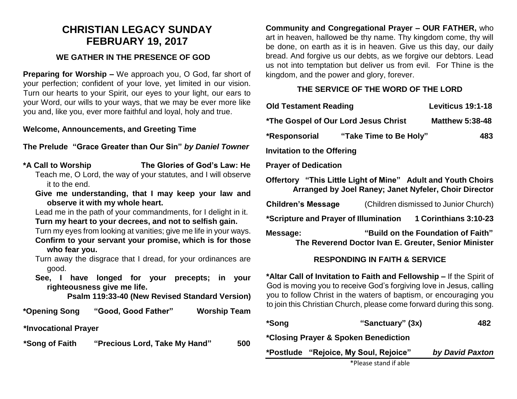## **CHRISTIAN LEGACY SUNDAY FEBRUARY 19, 2017**

### **WE GATHER IN THE PRESENCE OF GOD**

**Preparing for Worship –** We approach you, O God, far short of your perfection; confident of your love, yet limited in our vision. Turn our hearts to your Spirit, our eyes to your light, our ears to your Word, our wills to your ways, that we may be ever more like you and, like you, ever more faithful and loyal, holy and true.

#### **Welcome, Announcements, and Greeting Time**

#### **The Prelude "Grace Greater than Our Sin"** *by Daniel Towner*

- **\*A Call to Worship The Glories of God's Law: He**
	- Teach me, O Lord, the way of your statutes, and I will observe it to the end.
	- **Give me understanding, that I may keep your law and observe it with my whole heart.**

Lead me in the path of your commandments, for I delight in it. **Turn my heart to your decrees, and not to selfish gain.**

- Turn my eyes from looking at vanities; give me life in your ways. **Confirm to your servant your promise, which is for those who fear you.**
- Turn away the disgrace that I dread, for your ordinances are good.
- **See, I have longed for your precepts; in your righteousness give me life.**

**Psalm 119:33-40 (New Revised Standard Version)**

**\*Opening Song "Good, Good Father" Worship Team**

**\*Invocational Prayer**

**\*Song of Faith "Precious Lord, Take My Hand" 500**

**Community and Congregational Prayer – OUR FATHER,** who art in heaven, hallowed be thy name. Thy kingdom come, thy will be done, on earth as it is in heaven. Give us this day, our daily bread. And forgive us our debts, as we forgive our debtors. Lead us not into temptation but deliver us from evil. For Thine is the kingdom, and the power and glory, forever.

## **THE SERVICE OF THE WORD OF THE LORD**

| <b>Old Testament Reading</b>                                                                                          |                        | Leviticus 19:1-18                     |  |  |
|-----------------------------------------------------------------------------------------------------------------------|------------------------|---------------------------------------|--|--|
| *The Gospel of Our Lord Jesus Christ                                                                                  | <b>Matthew 5:38-48</b> |                                       |  |  |
| *Responsorial                                                                                                         | "Take Time to Be Holy" | 483                                   |  |  |
| <b>Invitation to the Offering</b>                                                                                     |                        |                                       |  |  |
| <b>Prayer of Dedication</b>                                                                                           |                        |                                       |  |  |
| Offertory "This Little Light of Mine" Adult and Youth Choirs<br>Arranged by Joel Raney; Janet Nyfeler, Choir Director |                        |                                       |  |  |
| Children's Message                                                                                                    |                        | (Children dismissed to Junior Church) |  |  |
| *Scripture and Prayer of Illumination<br>1 Corinthians 3:10-23                                                        |                        |                                       |  |  |
| "Build on the Foundation of Faith"<br>Message:<br>The Reverend Doctor Ivan E. Greuter, Senior Minister                |                        |                                       |  |  |

#### **RESPONDING IN FAITH & SERVICE**

**\*Altar Call of Invitation to Faith and Fellowship –** If the Spirit of God is moving you to receive God's forgiving love in Jesus, calling you to follow Christ in the waters of baptism, or encouraging you to join this Christian Church, please come forward during this song.

| *Song                                | "Sanctuary" (3x)                      | 482             |  |
|--------------------------------------|---------------------------------------|-----------------|--|
| *Closing Prayer & Spoken Benediction |                                       |                 |  |
|                                      | *Postlude "Rejoice, My Soul, Rejoice" | by David Paxton |  |
|                                      | *Please stand if able                 |                 |  |